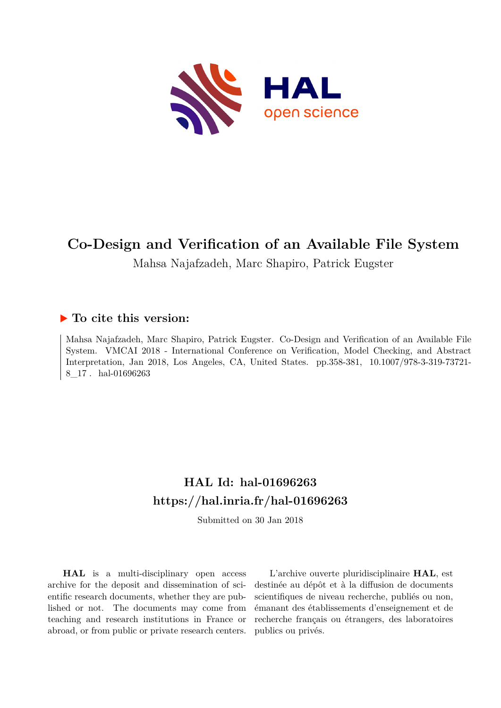

# **Co-Design and Verification of an Available File System**

Mahsa Najafzadeh, Marc Shapiro, Patrick Eugster

# **To cite this version:**

Mahsa Najafzadeh, Marc Shapiro, Patrick Eugster. Co-Design and Verification of an Available File System. VMCAI 2018 - International Conference on Verification, Model Checking, and Abstract Interpretation, Jan 2018, Los Angeles, CA, United States. pp.358-381, 10.1007/978-3-319-73721-8 17. hal-01696263

# **HAL Id: hal-01696263 <https://hal.inria.fr/hal-01696263>**

Submitted on 30 Jan 2018

**HAL** is a multi-disciplinary open access archive for the deposit and dissemination of scientific research documents, whether they are published or not. The documents may come from teaching and research institutions in France or abroad, or from public or private research centers.

L'archive ouverte pluridisciplinaire **HAL**, est destinée au dépôt et à la diffusion de documents scientifiques de niveau recherche, publiés ou non, émanant des établissements d'enseignement et de recherche français ou étrangers, des laboratoires publics ou privés.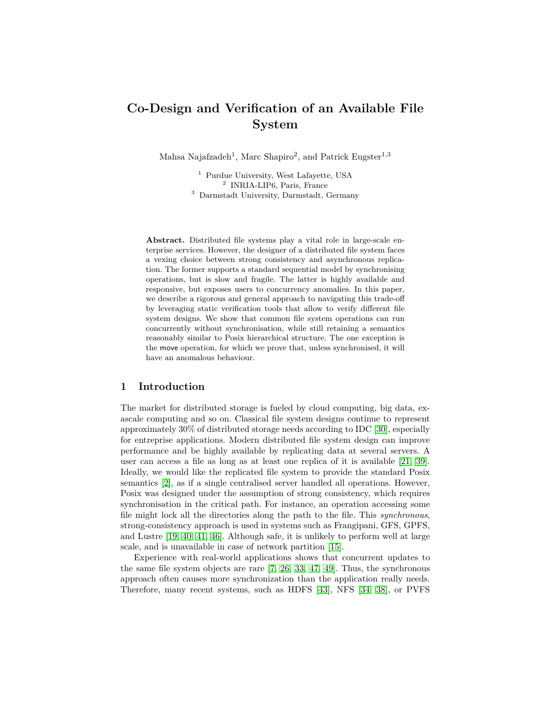# **Co-Design and Verification of an Available File System**

Mahsa Najafzadeh<sup>1</sup>, Marc Shapiro<sup>2</sup>, and Patrick Eugster<sup>1,3</sup>

<sup>1</sup> Purdue University, West Lafayette, USA 2 INRIA-LIP6, Paris, France <sup>3</sup> Darmstadt University, Darmstadt, Germany

**Abstract.** Distributed file systems play a vital role in large-scale enterprise services. However, the designer of a distributed file system faces a vexing choice between strong consistency and asynchronous replication. The former supports a standard sequential model by synchronising operations, but is slow and fragile. The latter is highly available and responsive, but exposes users to concurrency anomalies. In this paper, we describe a rigorous and general approach to navigating this trade-off by leveraging static verification tools that allow to verify different file system designs. We show that common file system operations can run concurrently without synchronisation, while still retaining a semantics reasonably similar to Posix hierarchical structure. The one exception is the move operation, for which we prove that, unless synchronised, it will have an anomalous behaviour.

#### **1 Introduction**

The market for distributed storage is fueled by cloud computing, big data, exascale computing and so on. Classical file system designs continue to represent approximately 30% of distributed storage needs according to IDC [30], especially for entreprise applications. Modern distributed file system design can improve performance and be highly available by replicating data at several servers. A user can access a file as long as at least one replica of it is available [21, 39]. Ideally, we would like the replicated file system to provide the standard Posix semantics [2], as if a single centralised server handled all operations. However, Posix was designed under the assumption of strong consistency, which requires synchronisation in the critical path. For instance, an operation accessing some file might lock all the directories along the path to the file. This *synchronous*, strong-consistency approach is used in systems such as Frangipani, GFS, GPFS, and Lustre [19, 40, 41, 46]. Although safe, it is unlikely to perform well at large scale, and is unavailable in case of network partition [15].

Experience with real-world applications shows that concurrent updates to the same file system objects are rare [7, 26, 33, 47, 49]. Thus, the synchronous approach often causes more synchronization than the application really needs. Therefore, many recent systems, such as HDFS [43], NFS [34, 38], or PVFS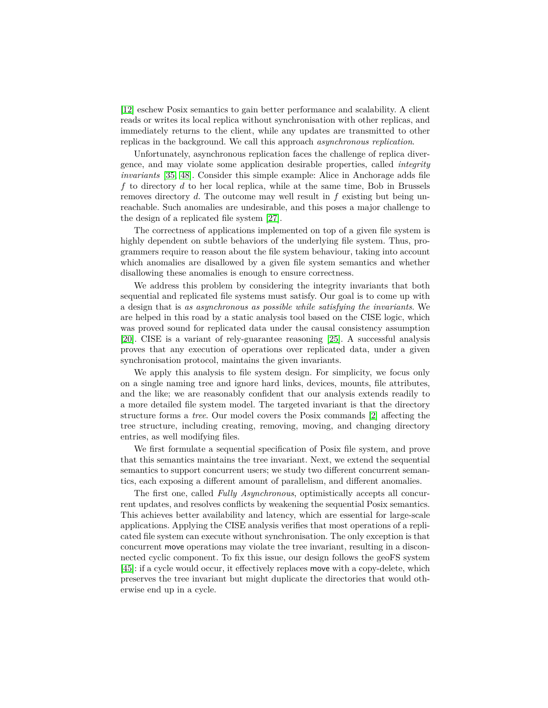[12] eschew Posix semantics to gain better performance and scalability. A client reads or writes its local replica without synchronisation with other replicas, and immediately returns to the client, while any updates are transmitted to other replicas in the background. We call this approach *asynchronous replication*.

Unfortunately, asynchronous replication faces the challenge of replica divergence, and may violate some application desirable properties, called *integrity invariants* [35, 48]. Consider this simple example: Alice in Anchorage adds file *f* to directory *d* to her local replica, while at the same time, Bob in Brussels removes directory *d*. The outcome may well result in *f* existing but being unreachable. Such anomalies are undesirable, and this poses a major challenge to the design of a replicated file system [27].

The correctness of applications implemented on top of a given file system is highly dependent on subtle behaviors of the underlying file system. Thus, programmers require to reason about the file system behaviour, taking into account which anomalies are disallowed by a given file system semantics and whether disallowing these anomalies is enough to ensure correctness.

We address this problem by considering the integrity invariants that both sequential and replicated file systems must satisfy. Our goal is to come up with a design that is *as asynchronous as possible while satisfying the invariants*. We are helped in this road by a static analysis tool based on the CISE logic, which was proved sound for replicated data under the causal consistency assumption [20]. CISE is a variant of rely-guarantee reasoning [25]. A successful analysis proves that any execution of operations over replicated data, under a given synchronisation protocol, maintains the given invariants.

We apply this analysis to file system design. For simplicity, we focus only on a single naming tree and ignore hard links, devices, mounts, file attributes, and the like; we are reasonably confident that our analysis extends readily to a more detailed file system model. The targeted invariant is that the directory structure forms a *tree*. Our model covers the Posix commands [2] affecting the tree structure, including creating, removing, moving, and changing directory entries, as well modifying files.

We first formulate a sequential specification of Posix file system, and prove that this semantics maintains the tree invariant. Next, we extend the sequential semantics to support concurrent users; we study two different concurrent semantics, each exposing a different amount of parallelism, and different anomalies.

The first one, called *Fully Asynchronous*, optimistically accepts all concurrent updates, and resolves conflicts by weakening the sequential Posix semantics. This achieves better availability and latency, which are essential for large-scale applications. Applying the CISE analysis verifies that most operations of a replicated file system can execute without synchronisation. The only exception is that concurrent move operations may violate the tree invariant, resulting in a disconnected cyclic component. To fix this issue, our design follows the geoFS system [45]: if a cycle would occur, it effectively replaces move with a copy-delete, which preserves the tree invariant but might duplicate the directories that would otherwise end up in a cycle.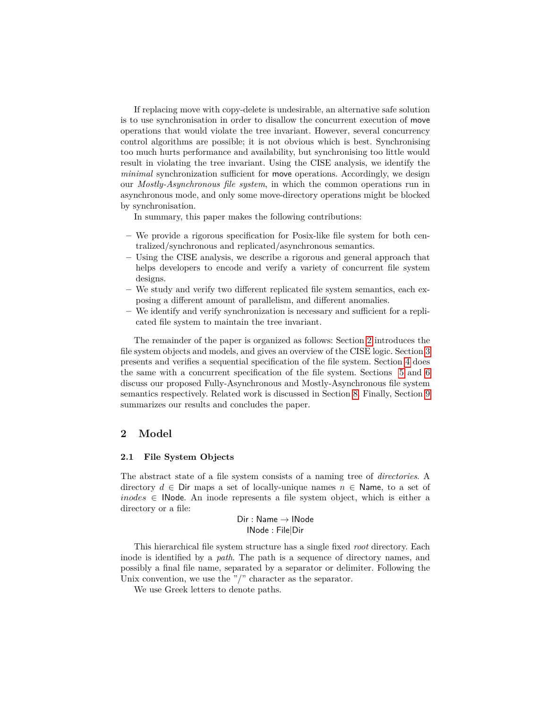If replacing move with copy-delete is undesirable, an alternative safe solution is to use synchronisation in order to disallow the concurrent execution of move operations that would violate the tree invariant. However, several concurrency control algorithms are possible; it is not obvious which is best. Synchronising too much hurts performance and availability, but synchronising too little would result in violating the tree invariant. Using the CISE analysis, we identify the *minimal* synchronization sufficient for move operations. Accordingly, we design our *Mostly-Asynchronous file system*, in which the common operations run in asynchronous mode, and only some move-directory operations might be blocked by synchronisation.

In summary, this paper makes the following contributions:

- **–** We provide a rigorous specification for Posix-like file system for both centralized/synchronous and replicated/asynchronous semantics.
- **–** Using the CISE analysis, we describe a rigorous and general approach that helps developers to encode and verify a variety of concurrent file system designs.
- **–** We study and verify two different replicated file system semantics, each exposing a different amount of parallelism, and different anomalies.
- **–** We identify and verify synchronization is necessary and sufficient for a replicated file system to maintain the tree invariant.

The remainder of the paper is organized as follows: Section 2 introduces the file system objects and models, and gives an overview of the CISE logic. Section 3 presents and verifies a sequential specification of the file system. Section 4 does the same with a concurrent specification of the file system. Sections 5 and 6 discuss our proposed Fully-Asynchronous and Mostly-Asynchronous file system semantics respectively. Related work is discussed in Section 8. Finally, Section 9 summarizes our results and concludes the paper.

# **2 Model**

#### **2.1 File System Objects**

The abstract state of a file system consists of a naming tree of *directories*. A directory  $d \in$  Dir maps a set of locally-unique names  $n \in$  Name, to a set of *inodes*  $\in$  **INode**. An inode represents a file system object, which is either a directory or a file:

$$
Dir: Name \rightarrow INode
$$
  

$$
INode: File|Dir
$$

This hierarchical file system structure has a single fixed *root* directory. Each inode is identified by a *path*. The path is a sequence of directory names, and possibly a final file name, separated by a separator or delimiter. Following the Unix convention, we use the "*/*" character as the separator.

We use Greek letters to denote paths.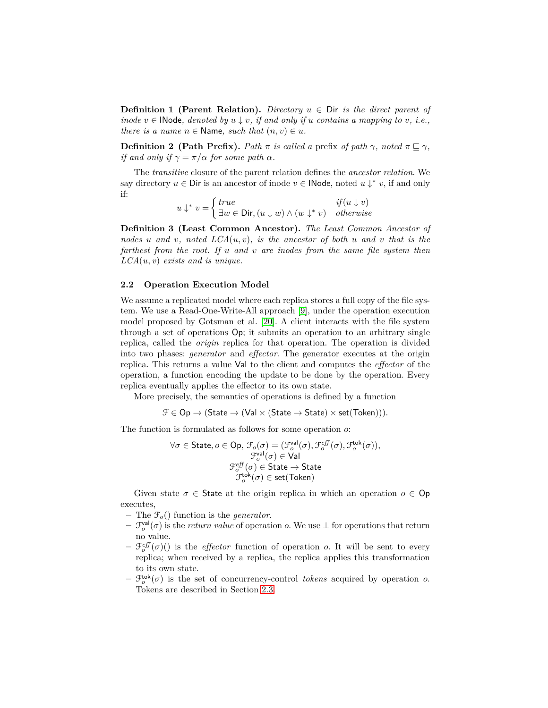**Definition 1 (Parent Relation).** *Directory u* ∈ Dir *is the direct parent of inode*  $v \in$  **INode**, denoted by  $u \downarrow v$ , if and only if *u* contains a mapping to *v*, *i.e.*, *there is a name*  $n \in \mathbb{N}$  ame, such that  $(n, v) \in u$ .

**Definition 2 (Path Prefix).** *Path*  $\pi$  *is called a* prefix *of path*  $\gamma$ *, noted*  $\pi \subseteq \gamma$ *, if and only if*  $\gamma = \pi/\alpha$  *for some path*  $\alpha$ *.* 

The *transitive* closure of the parent relation defines the *ancestor relation*. We say directory  $u \in \text{Dir}$  is an ancestor of inode  $v \in \text{INode}$ , noted  $u \downarrow^* v$ , if and only if:

$$
u \downarrow^* v = \begin{cases} true & \text{if } (u \downarrow v) \\ \exists w \in \text{Dir}, (u \downarrow w) \land (w \downarrow^* v) & otherwise \end{cases}
$$

**Definition 3 (Least Common Ancestor).** *The Least Common Ancestor of nodes u and v, noted LCA*(*u, v*)*, is the ancestor of both u and v that is the farthest from the root. If u and v are inodes from the same file system then LCA*(*u, v*) *exists and is unique.*

#### **2.2 Operation Execution Model**

We assume a replicated model where each replica stores a full copy of the file system. We use a Read-One-Write-All approach [9], under the operation execution model proposed by Gotsman et al. [20]. A client interacts with the file system through a set of operations Op; it submits an operation to an arbitrary single replica, called the *origin* replica for that operation. The operation is divided into two phases: *generator* and *effector*. The generator executes at the origin replica. This returns a value Val to the client and computes the *effector* of the operation, a function encoding the update to be done by the operation. Every replica eventually applies the effector to its own state.

More precisely, the semantics of operations is defined by a function

 $\mathcal{F} \in \mathsf{Op} \to (\mathsf{State} \to (\mathsf{Val} \times (\mathsf{State} \to \mathsf{State}) \times \mathsf{set}(\mathsf{Token}))).$ 

The function is formulated as follows for some operation *o*:

$$
\forall \sigma \in \text{State}, o \in \text{Op}, \, \mathcal{F}_o(\sigma) = (\mathcal{F}_o^{\text{val}}(\sigma), \mathcal{F}_o^{\text{eff}}(\sigma), \mathcal{F}_o^{\text{tok}}(\sigma)), \\ \mathcal{F}_o^{\text{val}}(\sigma) \in \text{Val} \\ \mathcal{F}_o^{\text{eff}}(\sigma) \in \text{State} \rightarrow \text{State} \\ \mathcal{F}_o^{\text{tok}}(\sigma) \in \text{set}(\text{Token})
$$

Given state  $\sigma \in$  State at the origin replica in which an operation  $o \in$  Op executes,

- **–** The F*o*() function is the *generator*.
- **–** F val *o* (*σ*) is the *return value* of operation *o*. We use ⊥ for operations that return no value.
- $-\mathcal{F}^{eff}_{o}(\sigma)(\mathcal{C})$  is the *effector* function of operation *o*. It will be sent to every replica; when received by a replica, the replica applies this transformation to its own state.
- $-\mathcal{F}^{\text{tok}}_{o}(\sigma)$  is the set of concurrency-control *tokens* acquired by operation *o*. Tokens are described in Section 2.3.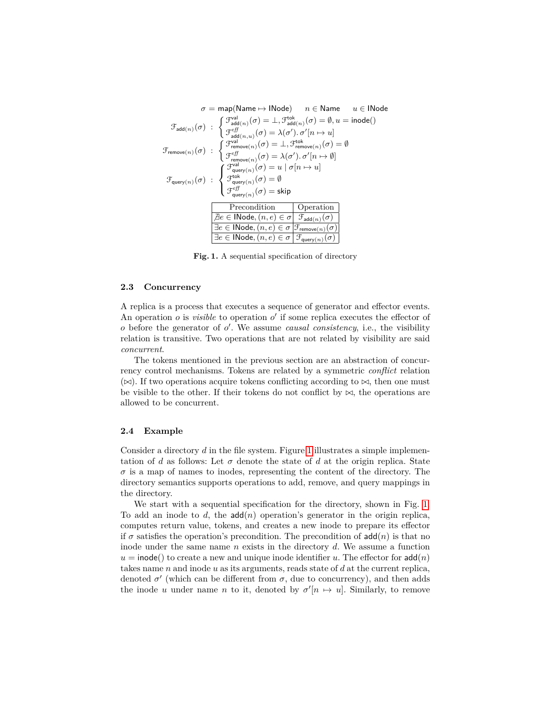$$
\sigma = \mathsf{map}(\mathsf{Name} \mapsto \mathsf{INode}) \qquad n \in \mathsf{Name} \qquad u \in \mathsf{INode}
$$
\n
$$
\mathcal{F}_{\mathsf{add}(n)}(\sigma) \; : \; \begin{cases}\n\mathcal{F}_{\mathsf{add}(n)}^{\mathsf{val}}(\sigma) = \bot, \mathcal{F}_{\mathsf{add}(n)}^{\mathsf{tok}}(\sigma) = \emptyset, u = \mathsf{inode}() \\
\mathcal{F}_{\mathsf{add}(n,u)}^{\mathsf{ed}}(\sigma) = \lambda(\sigma'), \sigma'[n \mapsto u] \\
\mathcal{F}_{\mathsf{remove}(n)}^{\mathsf{val}}(\sigma) \; : \; \begin{cases}\n\mathcal{F}_{\mathsf{remove}(n)}^{\mathsf{val}}(\sigma) = \lambda(\sigma'), \sigma'[n \mapsto u] \\
\mathcal{F}_{\mathsf{remove}(n)}^{\mathsf{ed}}(\sigma) = \lambda(\sigma'), \sigma'[n \mapsto \emptyset] \\
\mathcal{F}_{\mathsf{query}(n)}^{\mathsf{val}}(\sigma) = u \mid \sigma[n \mapsto u]\n\end{cases} \\
\mathcal{F}_{\mathsf{query}(n)}(\sigma) \; : \; \begin{cases}\n\mathcal{F}_{\mathsf{query}(n)}^{\mathsf{val}}(\sigma) = u \mid \sigma[n \mapsto u] \\
\mathcal{F}_{\mathsf{query}(n)}^{\mathsf{val}}(\sigma) = \emptyset \\
\mathcal{F}_{\mathsf{query}(n)}^{\mathsf{d}}(\sigma) = \mathsf{skip}\n\end{cases} \\
\hline \begin{cases}\n\text{Precondition} & \text{Operation} \\
\overline{\mathcal{A}}e \in \mathsf{Node}, (n, e) \in \sigma \quad \mathcal{F}_{\mathsf{add}(n)}(\sigma) \\
\overline{\exists e \in \mathsf{Node}, (n, e) \in \sigma \quad \mathcal{F}_{\mathsf{remove}(n)}(\sigma)}\n\end{cases} \\
\hline \begin{cases}\n\overline{\mathcal{A}}e \in \mathsf{Node}, (n, e) \in \sigma \quad \mathcal{F}_{\mathsf{remove}(n)}(\sigma)\n\end{cases}\n\end{cases}
$$

Fig. 1. A sequential specification of directory

#### **2.3 Concurrency**

A replica is a process that executes a sequence of generator and effector events. An operation  $o$  is *visible* to operation  $o'$  if some replica executes the effector of *o* before the generator of *o'*. We assume *causal consistency*, i.e., the visibility relation is transitive. Two operations that are not related by visibility are said *concurrent*.

The tokens mentioned in the previous section are an abstraction of concurrency control mechanisms. Tokens are related by a symmetric *conflict* relation  $(\infty)$ . If two operations acquire tokens conflicting according to  $\infty$ , then one must be visible to the other. If their tokens do not conflict by  $\bowtie$ , the operations are allowed to be concurrent.

#### **2.4 Example**

Consider a directory *d* in the file system. Figure 1 illustrates a simple implementation of *d* as follows: Let  $\sigma$  denote the state of *d* at the origin replica. State  $\sigma$  is a map of names to inodes, representing the content of the directory. The directory semantics supports operations to add, remove, and query mappings in the directory.

We start with a sequential specification for the directory, shown in Fig. 1. To add an inode to  $d$ , the  $add(n)$  operation's generator in the origin replica, computes return value, tokens, and creates a new inode to prepare its effector if  $\sigma$  satisfies the operation's precondition. The precondition of  $\text{add}(n)$  is that no inode under the same name *n* exists in the directory *d*. We assume a function  $u = \text{inode}()$  to create a new and unique inode identifier *u*. The effector for  $add(n)$ takes name *n* and inode *u* as its arguments, reads state of *d* at the current replica, denoted  $\sigma'$  (which can be different from  $\sigma$ , due to concurrency), and then adds the inode *u* under name *n* to it, denoted by  $\sigma'$ [ $n \mapsto u$ ]. Similarly, to remove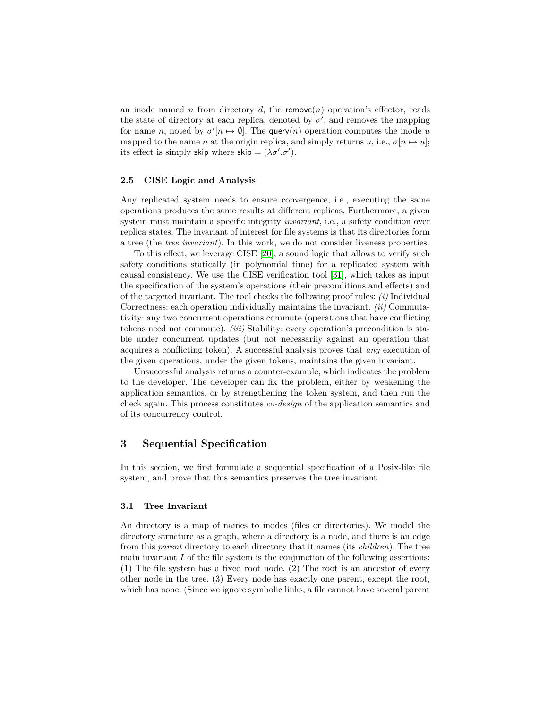an inode named *n* from directory *d*, the remove(*n*) operation's effector, reads the state of directory at each replica, denoted by  $\sigma'$ , and removes the mapping for name *n*, noted by  $\sigma'$ [ $n \mapsto \emptyset$ ]. The **query**(*n*) operation computes the inode *u* mapped to the name *n* at the origin replica, and simply returns *u*, i.e.,  $\sigma[n \mapsto u]$ ; its effect is simply skip where skip =  $(\lambda \sigma'. \sigma')$ .

#### **2.5 CISE Logic and Analysis**

Any replicated system needs to ensure convergence, i.e., executing the same operations produces the same results at different replicas. Furthermore, a given system must maintain a specific integrity *invariant*, i.e., a safety condition over replica states. The invariant of interest for file systems is that its directories form a tree (the *tree invariant*). In this work, we do not consider liveness properties.

To this effect, we leverage CISE [20], a sound logic that allows to verify such safety conditions statically (in polynomial time) for a replicated system with causal consistency. We use the CISE verification tool [31], which takes as input the specification of the system's operations (their preconditions and effects) and of the targeted invariant. The tool checks the following proof rules: *(i)* Individual Correctness: each operation individually maintains the invariant. *(ii)* Commutativity: any two concurrent operations commute (operations that have conflicting tokens need not commute). *(iii)* Stability: every operation's precondition is stable under concurrent updates (but not necessarily against an operation that acquires a conflicting token). A successful analysis proves that *any* execution of the given operations, under the given tokens, maintains the given invariant.

Unsuccessful analysis returns a counter-example, which indicates the problem to the developer. The developer can fix the problem, either by weakening the application semantics, or by strengthening the token system, and then run the check again. This process constitutes *co-design* of the application semantics and of its concurrency control.

# **3 Sequential Specification**

In this section, we first formulate a sequential specification of a Posix-like file system, and prove that this semantics preserves the tree invariant.

#### **3.1 Tree Invariant**

An directory is a map of names to inodes (files or directories). We model the directory structure as a graph, where a directory is a node, and there is an edge from this *parent* directory to each directory that it names (its *children*). The tree main invariant *I* of the file system is the conjunction of the following assertions: (1) The file system has a fixed root node. (2) The root is an ancestor of every other node in the tree. (3) Every node has exactly one parent, except the root, which has none. (Since we ignore symbolic links, a file cannot have several parent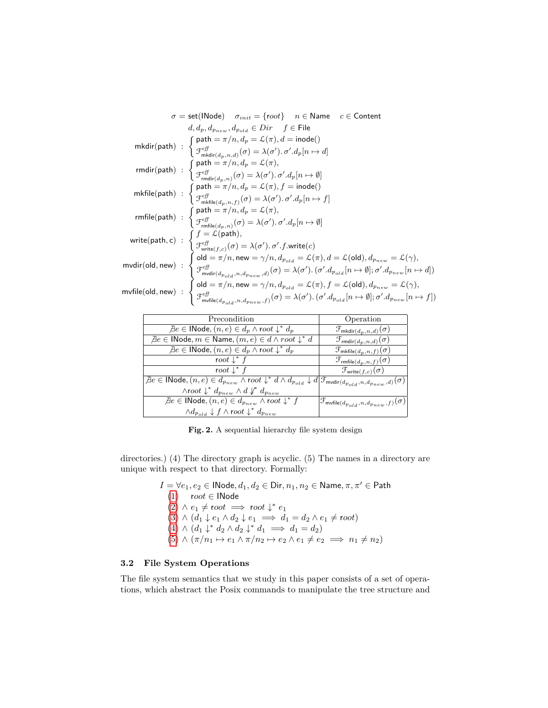| $\sigma = \text{set}(\text{Node})$ $\sigma_{init} = \{root\}$ $n \in \text{Name}$ $c \in \text{Content}$                                                                                                                                                                                                                                                                                                                                                                                                              |
|-----------------------------------------------------------------------------------------------------------------------------------------------------------------------------------------------------------------------------------------------------------------------------------------------------------------------------------------------------------------------------------------------------------------------------------------------------------------------------------------------------------------------|
| $d, d_p, d_{pnew}, d_{pold} \in Dir \quad f \in \mathsf{File}$                                                                                                                                                                                                                                                                                                                                                                                                                                                        |
| $\mathsf{mkdir}(\mathsf{path}) \; : \; \left\{ \begin{array}{l} \mathsf{path} = \pi/n, d_p = \mathcal{L}(\pi), d = \mathsf{inode}() \\ \mathcal{F}^{\mathsf{eff}}_{\mathsf{mkdir}(d_n, n, d)}(\sigma) = \lambda(\sigma'). \, \sigma'. d_p[n \mapsto d] \end{array} \right.$                                                                                                                                                                                                                                           |
| $\textsf{rmdir}(\textsf{path}) \; : \; \left\{ \begin{aligned} & \textsf{path} = \pi/n, d_p = \mathcal{L}(\pi), \\ & \mathcal{F}^{e\textsf{ff}}_{\textsf{rmdir}(d_n,n)}(\sigma) = \lambda(\sigma'). \, \sigma'.d_p[n \mapsto \emptyset] \end{aligned} \right.$                                                                                                                                                                                                                                                        |
| mkfile(path) : $\begin{cases} \text{path} = \pi/n, d_p = \mathcal{L}(\pi), f = \text{inode}() \\ \mathcal{F}_{\text{mkfile}(d_p, n, f)}^{\text{eff}}(\sigma) = \lambda(\sigma'), \sigma'.d_p[n \mapsto f] \end{cases}$                                                                                                                                                                                                                                                                                                |
| $\text{rmfile}(\text{path}) \; : \; \left\{ \begin{aligned} & \text{path} = \pi/n, d_p = \mathcal{L}(\pi), \\ & \mathcal{F}^{eff}_{\text{rmfile}(d_p,n)}(\sigma) = \lambda(\sigma'). \, \sigma'.d_p[n \mapsto \emptyset] \end{aligned} \right.$                                                                                                                                                                                                                                                                       |
|                                                                                                                                                                                                                                                                                                                                                                                                                                                                                                                       |
|                                                                                                                                                                                                                                                                                                                                                                                                                                                                                                                       |
| $\begin{array}{ll} \text{write}(\text{path},\text{c}) & \left\{ \begin{aligned} &f = \mathcal{L}(\text{path}), \\ &\mathcal{F}^{\text{eff}}_{\text{write}(f,c)}(\sigma) = \lambda(\sigma'), \sigma'.f.\text{write}(c) \\ &\text{old} = \pi/n, \text{new} = \gamma/n, d_{p_{old}} = \mathcal{L}(\pi), d = \mathcal{L}(\text{old}), d_{p_{new}} = \mathcal{L}(\gamma), \\ &\mathcal{F}^{\text{eff}}_{\text{mvdir}(d_{p_{old}},n,d_{p_{new}},d)}(\sigma) = \lambda(\sigma'), (\sigma'.d_{p_{old}}[n \mapsto \emptyset];$ |

| Precondition                                                                                                                                                                                      | Operation                                                                 |
|---------------------------------------------------------------------------------------------------------------------------------------------------------------------------------------------------|---------------------------------------------------------------------------|
| $\exists e \in \mathsf{INode}, (n, e) \in d_p \land \mathsf{root} \downarrow^* d_p$                                                                                                               | $\mathcal{F}_{\mathsf{mkdir}(d_p,n,d)}(\sigma)$                           |
| $\exists e \in \mathsf{INode}, m \in \mathsf{Name}, (m, e) \in d \land root \downarrow^* d$                                                                                                       | $\mathcal{F}_{rmdir(d_p,n,d)}(\sigma)$                                    |
| $\exists e \in \mathsf{INode}, (n, e) \in d_p \land \mathsf{root} \downarrow^* d_p$                                                                                                               | $\mathcal{F}_{\mathsf{mkfile}(d_p,n,f)}(\sigma)$                          |
| root $\downarrow^*$ f                                                                                                                                                                             | $\mathcal{F}_{\text{rmfile}(d_p,n,f)}(\sigma)$                            |
| root $\downarrow^*$ f                                                                                                                                                                             | $\mathcal{F}_{\text{write}(f, c)}(\sigma)$                                |
| $\overline{\not\exists e\in\mathsf{INode},(n,e)\in d_{p_{new}}}\wedge \mathsf{root}\downarrow^*d\wedge d_{p_{old}}\downarrow d \mathcal{F}_{\mathsf{mvdir}(d_{p_{old}},n,d_{p_{new}},d)}(\sigma)$ |                                                                           |
| $\wedge \text{root} \downarrow^* d_{p_{new}} \wedge d \downarrow^* d_{p_{new}}$                                                                                                                   |                                                                           |
| $\exists e \in \mathsf{INode}, (n, e) \in d_{p_{new}} \wedge root \downarrow^* f$                                                                                                                 | $\big \mathcal{F}_{\textsf{mville}(d_{p_{old}},n,d_{p_{new}},f)}(\sigma)$ |
| $\wedge d_{p_{old}} \downarrow f \wedge root \downarrow^* d_{p_{new}}$                                                                                                                            |                                                                           |

**Fig. 2.** A sequential hierarchy file system design

directories.) (4) The directory graph is acyclic. (5) The names in a directory are unique with respect to that directory. Formally:

> $I = \forall e_1, e_2 \in \mathsf{INode}, d_1, d_2 \in \mathsf{Dir}, n_1, n_2 \in \mathsf{Name}, \pi, \pi' \in \mathsf{Path}$ (1) r*oot* ∈ INode  $(2) \wedge e_1 \neq root \implies root \downarrow^* e_1$  $(3) \wedge (d_1 \downarrow e_1 \wedge d_2 \downarrow e_1 \implies d_1 = d_2 \wedge e_1 \neq \text{root})$  $(4) \wedge (d_1 \downarrow^* d_2 \wedge d_2 \downarrow^* d_1 \implies d_1 = d_2)$  $(5) \wedge (\pi/n_1 \mapsto e_1 \wedge \pi/n_2 \mapsto e_2 \wedge e_1 \neq e_2 \implies n_1 \neq n_2)$

## **3.2 File System Operations**

The file system semantics that we study in this paper consists of a set of operations, which abstract the Posix commands to manipulate the tree structure and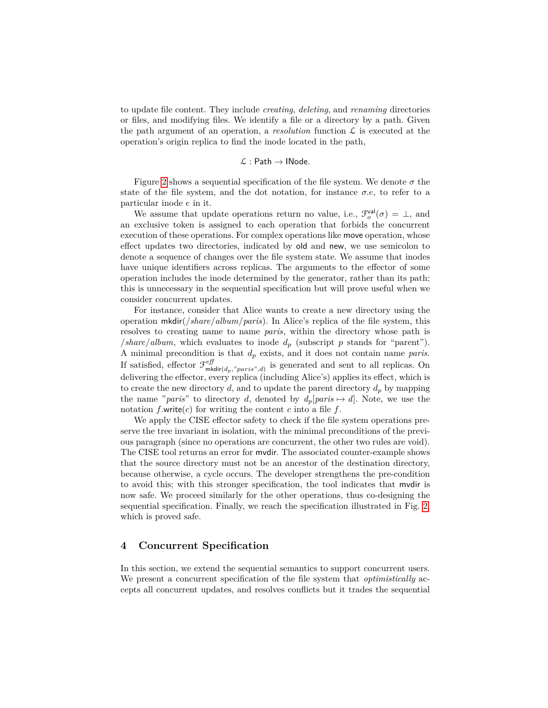to update file content. They include *creating*, *deleting*, and *renaming* directories or files, and modifying files. We identify a file or a directory by a path. Given the path argument of an operation, a *resolution* function  $\mathcal{L}$  is executed at the operation's origin replica to find the inode located in the path,

## $\mathcal{L}:$  Path  $\rightarrow$  INode.

Figure 2 shows a sequential specification of the file system. We denote *σ* the state of the file system, and the dot notation, for instance  $\sigma.e$ , to refer to a particular inode *e* in it.

We assume that update operations return no value, i.e.,  $\mathcal{F}_o^{\text{val}}(\sigma) = \perp$ , and an exclusive token is assigned to each operation that forbids the concurrent execution of these operations. For complex operations like move operation, whose effect updates two directories, indicated by old and new, we use semicolon to denote a sequence of changes over the file system state. We assume that inodes have unique identifiers across replicas. The arguments to the effector of some operation includes the inode determined by the generator, rather than its path; this is unnecessary in the sequential specification but will prove useful when we consider concurrent updates.

For instance, consider that Alice wants to create a new directory using the operation mkdir(*/share/album/paris*). In Alice's replica of the file system, this resolves to creating name to name *paris*, within the directory whose path is  $/\text{share}/\text{album}$ , which evaluates to inode  $d_p$  (subscript *p* stands for "parent"). A minimal precondition is that *d<sup>p</sup>* exists, and it does not contain name *paris*. If satisfied, effector  $\mathcal{F}^{ef\!f}_{m\mathbf{k}}$  $\sum_{\text{mkdir}(d_p, "paris", d)}^{\text{eff}}$  is generated and sent to all replicas. On delivering the effector, every replica (including Alice's) applies its effect, which is to create the new directory  $d$ , and to update the parent directory  $d_p$  by mapping the name "*paris*" to directory *d*, denoted by  $d_p$ [*paris*  $\mapsto d$ ]. Note, we use the notation  $f$ .write $(c)$  for writing the content  $c$  into a file  $f$ .

We apply the CISE effector safety to check if the file system operations preserve the tree invariant in isolation, with the minimal preconditions of the previous paragraph (since no operations are concurrent, the other two rules are void). The CISE tool returns an error for mvdir. The associated counter-example shows that the source directory must not be an ancestor of the destination directory, because otherwise, a cycle occurs. The developer strengthens the pre-condition to avoid this; with this stronger specification, the tool indicates that mvdir is now safe. We proceed similarly for the other operations, thus co-designing the sequential specification. Finally, we reach the specification illustrated in Fig. 2, which is proved safe.

# **4 Concurrent Specification**

In this section, we extend the sequential semantics to support concurrent users. We present a concurrent specification of the file system that *optimistically* accepts all concurrent updates, and resolves conflicts but it trades the sequential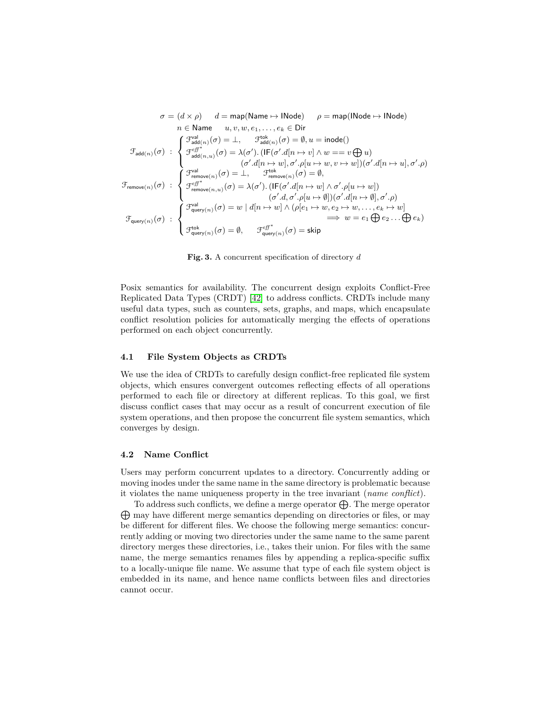$$
\sigma = (d \times \rho) \qquad d = \text{map}(\text{Name} \mapsto \text{INode}) \qquad \rho = \text{map}(\text{INode} \mapsto \text{INode})
$$
\n
$$
n \in \text{Name} \qquad u, v, w, e_1, \dots, e_k \in \text{Dir}
$$
\n
$$
\mathcal{F}_{\text{add}(n)}(\sigma) = \bot, \qquad \mathcal{F}_{\text{add}(n)}^{\text{tok}}(\sigma) = \emptyset, u = \text{inode})
$$
\n
$$
\mathcal{F}_{\text{add}(n)}(\sigma) = \bot, \qquad \mathcal{F}_{\text{add}(n)}^{\text{tok}}(\sigma) = \emptyset, u = \text{inode})
$$
\n
$$
\mathcal{F}_{\text{add}(n)}(\sigma) = \lambda(\sigma').(\text{IF}(\sigma'.d[n \mapsto v] \wedge w == v \bigoplus u))
$$
\n
$$
(\sigma'.d[n \mapsto w], \sigma'.\rho[u \mapsto w, v \mapsto w])(\sigma'.d[n \mapsto u], \sigma'.\rho)
$$
\n
$$
\mathcal{F}_{\text{remove}(n)}(\sigma) = \bot, \qquad \mathcal{F}_{\text{remove}(n)}^{\text{tok}}(\sigma) = \emptyset,
$$
\n
$$
\mathcal{F}_{\text{remove}(n)}(\sigma) = \lambda(\sigma').(\text{IF}(\sigma'.d[n \mapsto w] \wedge \sigma'.\rho[u \mapsto w])
$$
\n
$$
(\sigma'.d, \sigma'.\rho[u \mapsto \emptyset])(\sigma'.d[n \mapsto \emptyset], \sigma'.\rho)
$$
\n
$$
\mathcal{F}_{\text{query}(n)}(\sigma) = w \mid d[n \mapsto w] \wedge (\rho[e_1 \mapsto w, e_2 \mapsto w, \dots, e_k \mapsto w]
$$
\n
$$
\implies w = e_1 \bigoplus e_2 \dots \bigoplus e_k)
$$

**Fig. 3.** A concurrent specification of directory *d*

Posix semantics for availability. The concurrent design exploits Conflict-Free Replicated Data Types (CRDT) [42] to address conflicts. CRDTs include many useful data types, such as counters, sets, graphs, and maps, which encapsulate conflict resolution policies for automatically merging the effects of operations performed on each object concurrently.

#### **4.1 File System Objects as CRDTs**

We use the idea of CRDTs to carefully design conflict-free replicated file system objects, which ensures convergent outcomes reflecting effects of all operations performed to each file or directory at different replicas. To this goal, we first discuss conflict cases that may occur as a result of concurrent execution of file system operations, and then propose the concurrent file system semantics, which converges by design.

#### **4.2 Name Conflict**

Users may perform concurrent updates to a directory. Concurrently adding or moving inodes under the same name in the same directory is problematic because it violates the name uniqueness property in the tree invariant (*name conflict*).

To address such conflicts, we define a merge operator  $\bigoplus$ . The merge operator L may have different merge semantics depending on directories or files, or may be different for different files. We choose the following merge semantics: concurrently adding or moving two directories under the same name to the same parent directory merges these directories, i.e., takes their union. For files with the same name, the merge semantics renames files by appending a replica-specific suffix to a locally-unique file name. We assume that type of each file system object is embedded in its name, and hence name conflicts between files and directories cannot occur.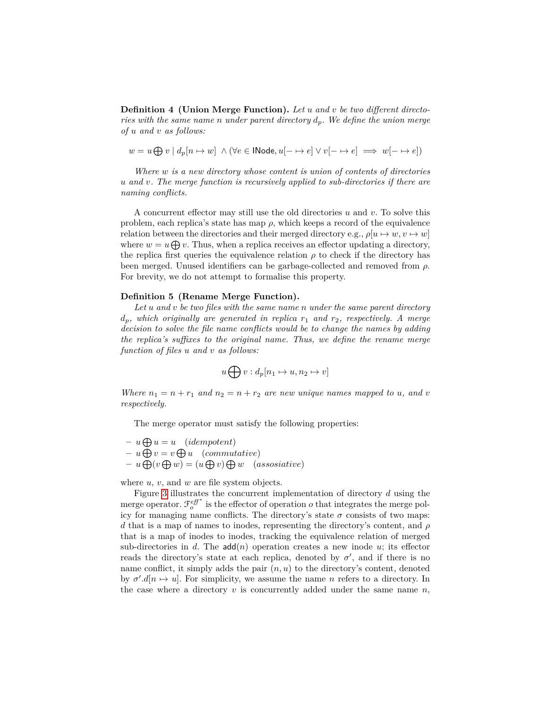**Definition 4 (Union Merge Function).** *Let u and v be two different directories with the same name n under parent directory dp. We define the union merge of u and v as follows:*

$$
w = u \bigoplus v \mid d_p[n \mapsto w] \land (\forall e \in \mathsf{INode}, u[\mathsf{-} \mapsto e] \lor v[\mathsf{-} \mapsto e] \implies w[\mathsf{-} \mapsto e])
$$

*Where w is a new directory whose content is union of contents of directories u and v. The merge function is recursively applied to sub-directories if there are naming conflicts.*

A concurrent effector may still use the old directories *u* and *v*. To solve this problem, each replica's state has map  $\rho$ , which keeps a record of the equivalence relation between the directories and their merged directory e.g.,  $\rho[u \mapsto w, v \mapsto w]$ where  $w = u \bigoplus v$ . Thus, when a replica receives an effector updating a directory, the replica first queries the equivalence relation  $\rho$  to check if the directory has been merged. Unused identifiers can be garbage-collected and removed from *ρ*. For brevity, we do not attempt to formalise this property.

#### **Definition 5 (Rename Merge Function).**

*Let u and v be two files with the same name n under the same parent directory*  $d_p$ *, which originally are generated in replica*  $r_1$  *and*  $r_2$ *, respectively. A merge decision to solve the file name conflicts would be to change the names by adding the replica's suffixes to the original name. Thus, we define the rename merge function of files u and v as follows:*

$$
u \bigoplus v : d_p[n_1 \mapsto u, n_2 \mapsto v]
$$

*Where*  $n_1 = n + r_1$  *and*  $n_2 = n + r_2$  *are new unique names mapped to u, and v respectively.*

The merge operator must satisfy the following properties:

 $-u \bigoplus u = u \quad (idempotent)$  $-u \bigoplus v = v \bigoplus u$  (*commutative*)  $-u \bigoplus (v \bigoplus w) = (u \bigoplus v) \bigoplus w$  (assosiative)

where *u*, *v*, and *w* are file system objects.

Figure 3 illustrates the concurrent implementation of directory *d* using the merge operator.  $\mathcal{F}_o^{eff^*}$  is the effector of operation *o* that integrates the merge policy for managing name conflicts. The directory's state  $\sigma$  consists of two maps: *d* that is a map of names to inodes, representing the directory's content, and *ρ* that is a map of inodes to inodes, tracking the equivalence relation of merged sub-directories in *d*. The  $\text{add}(n)$  operation creates a new inode *u*; its effector reads the directory's state at each replica, denoted by  $\sigma'$ , and if there is no name conflict, it simply adds the pair (*n, u*) to the directory's content, denoted by  $\sigma'$ .d[ $n \mapsto u$ ]. For simplicity, we assume the name *n* refers to a directory. In the case where a directory  $v$  is concurrently added under the same name  $n$ ,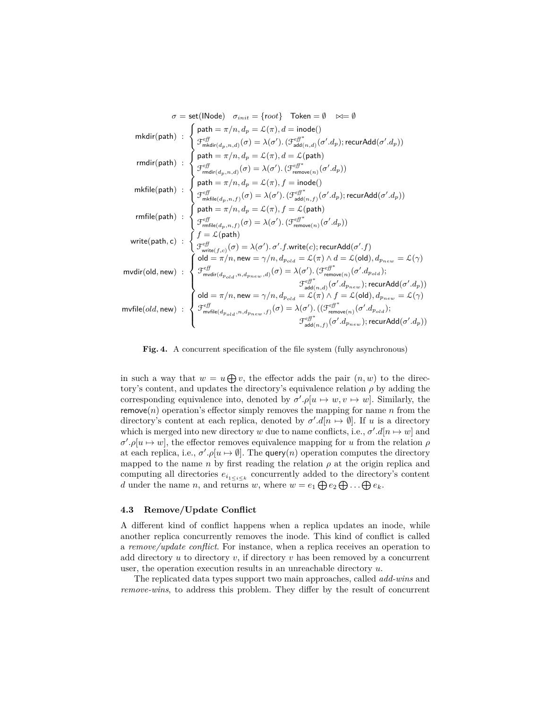$$
\sigma = \text{set}(\text{INode}) \quad \sigma_{init} = \{\text{root}\} \quad \text{Token} = \emptyset \quad \bowtie = \emptyset
$$
\n
$$
\text{mkdir}(\text{path}) \quad : \quad \begin{cases}\n\text{path} = \pi/n, d_p = \mathcal{L}(\pi), d = \text{inode}() \\
\mathcal{F}_{\text{mkdir}}^{eff}(\sigma_{p,n,d})(\sigma) = \lambda(\sigma'), (\mathcal{F}_{\text{add}(n,d)}^{eff}) (\sigma', d_p); \text{recurAdd}(\sigma', d_p)) \\
\text{rmdir}(\text{path}) \quad : \quad \begin{cases}\n\text{path} = \pi/n, d_p = \mathcal{L}(\pi), d = \mathcal{L}(\text{path}) \\
\mathcal{F}_{\text{mdir}}^{eff}(\sigma_{p,n,d})(\sigma) = \lambda(\sigma'), (\mathcal{F}_{\text{remove}(n)}^{eff}) (\sigma', d_p)) \\
\text{pkfile}(\text{path}) \quad : \quad \begin{cases}\n\text{path} = \pi/n, d_p = \mathcal{L}(\pi), f = \text{inode}() \\
\mathcal{F}_{\text{mfdic}}^{eff}(\sigma_{p,n,f})(\sigma) = \lambda(\sigma'), (\mathcal{F}_{\text{remove}(n)}^{eff}(\sigma', d_p); \text{recurAdd}(\sigma', d_p))\n\end{cases} \\
\text{rmfile}(\text{path}) \quad : \quad \begin{cases}\n\text{path} = \pi/n, d_p = \mathcal{L}(\pi), f = \text{inode}() \\
\text{path} = \pi/n, d_p = \mathcal{L}(\pi), f = \mathcal{L}(\text{path}) \\
\text{f}_{\text{mfile}(d_p,n,f)}^{eff}(\sigma) = \lambda(\sigma'), (\mathcal{F}_{\text{eff}}^{eff}) (\sigma', d_p))\n\end{cases} \\
\text{write}(\text{path}, \text{c}) \quad : \quad \begin{cases}\nf = \mathcal{L}(\text{path}) \\
\text{f}_{\text{mfile}(d_p,n,f)}^{eff}(\sigma) = \lambda(\sigma'), \text{f\_write}(c); \text{recurAdd}(\sigma', f) \\
\text{dld} = \pi/n, \text{new} = \gamma/n, d_{p_{old}} = \mathcal{L}(\pi) \land d = \mathcal{L}(\text{old}), d_{p_{new}} = \mathcal{L}(\gamma) \\
\text{dld} = \pi/n, \text{new} = \gamma/n, d_{p_{old}} = \mathcal{
$$

**Fig. 4.** A concurrent specification of the file system (fully asynchronous)

in such a way that  $w = u \bigoplus v$ , the effector adds the pair  $(n, w)$  to the directory's content, and updates the directory's equivalence relation  $\rho$  by adding the corresponding equivalence into, denoted by  $\sigma' \cdot \rho[u \mapsto w, v \mapsto w]$ . Similarly, the remove( $n$ ) operation's effector simply removes the mapping for name  $n$  from the directory's content at each replica, denoted by  $\sigma' d[n \mapsto \emptyset]$ . If *u* is a directory which is merged into new directory *w* due to name conflicts, i.e.,  $\sigma'.d[n \mapsto w]$  and  $\sigma'$ .*ρ*[ $u \mapsto w$ ], the effector removes equivalence mapping for *u* from the relation *ρ* at each replica, i.e.,  $\sigma'$ . $\rho[u \mapsto \emptyset]$ . The query $(n)$  operation computes the directory mapped to the name *n* by first reading the relation  $\rho$  at the origin replica and computing all directories  $e_{i_1 \lt i \lt k}$  concurrently added to the directory's content *d* under the name *n*, and returns *w*, where  $w = e_1 \bigoplus e_2 \bigoplus \ldots \bigoplus e_k$ .

#### **4.3 Remove/Update Conflict**

A different kind of conflict happens when a replica updates an inode, while another replica concurrently removes the inode. This kind of conflict is called a *remove/update conflict*. For instance, when a replica receives an operation to add directory *u* to directory *v*, if directory *v* has been removed by a concurrent user, the operation execution results in an unreachable directory *u*.

The replicated data types support two main approaches, called *add-wins* and *remove-wins*, to address this problem. They differ by the result of concurrent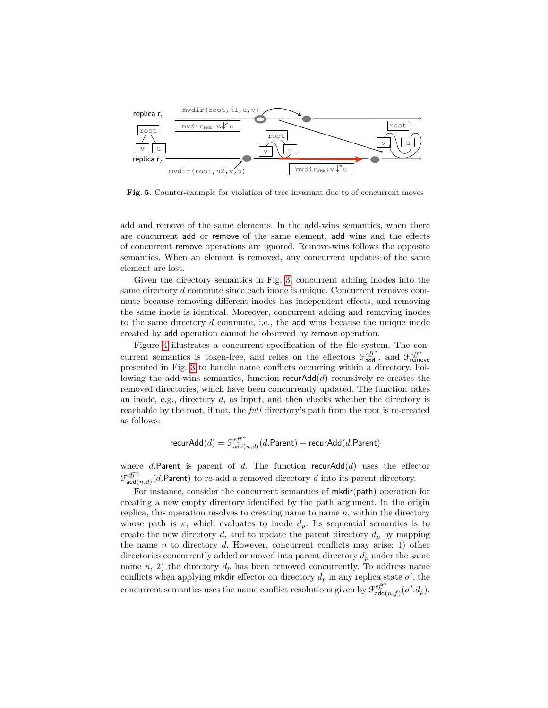

**Fig. 5.** Counter-example for violation of tree invariant due to of concurrent moves

add and remove of the same elements. In the add-wins semantics, when there are concurrent add or remove of the same element, add wins and the effects of concurrent remove operations are ignored. Remove-wins follows the opposite semantics. When an element is removed, any concurrent updates of the same element are lost.

Given the directory semantics in Fig. 3, concurrent adding inodes into the same directory *d* commute since each inode is unique. Concurrent removes commute because removing different inodes has independent effects, and removing the same inode is identical. Moreover, concurrent adding and removing inodes to the same directory *d* commute, i.e., the add wins because the unique inode created by add operation cannot be observed by remove operation.

Figure 4 illustrates a concurrent specification of the file system. The concurrent semantics is token-free, and relies on the effectors  $\mathcal{F}_{\text{add}}^{eff^*}$ , and  $\mathcal{F}_{\text{remove}}^{eff^*}$  presented in Fig. 3 to handle name conflicts occurring within a directory. Following the add-wins semantics, function recurAdd(*d*) recursively re-creates the removed directories, which have been concurrently updated. The function takes an inode, e.g., directory *d*, as input, and then checks whether the directory is reachable by the root, if not, the *full* directory's path from the root is re-created as follows:

$$
\mathsf{recurAdd}(d) = \mathcal{F}^{eff^*}_{\mathsf{add}(n,d)}(d.\mathsf{Parent}) + \mathsf{recurAdd}(d.\mathsf{Parent})
$$

where *d*.Parent is parent of *d*. The function recurAdd $(d)$  uses the effector F *eff* <sup>∗</sup>  $\frac{f^{eff}}{\text{add}(n,d)}(d.\textsf{Parent})$  to re-add a removed directory *d* into its parent directory.

For instance, consider the concurrent semantics of mkdir(path) operation for creating a new empty directory identified by the path argument. In the origin replica, this operation resolves to creating name to name *n*, within the directory whose path is  $\pi$ , which evaluates to inode  $d_p$ . Its sequential semantics is to create the new directory  $d$ , and to update the parent directory  $d_p$  by mapping the name *n* to directory *d*. However, concurrent conflicts may arise: 1) other directories concurrently added or moved into parent directory  $d_p$  under the same name  $n$ , 2) the directory  $d_p$  has been removed concurrently. To address name conflicts when applying mkdir effector on directory  $d_p$  in any replica state  $\sigma'$ , the concurrent semantics uses the name conflict resolutions given by  $\mathcal{F}^{\text{eff}}_{\text{add}}$  $\det^{\epsilon_{eff}^{e}}(\sigma'.d_p).$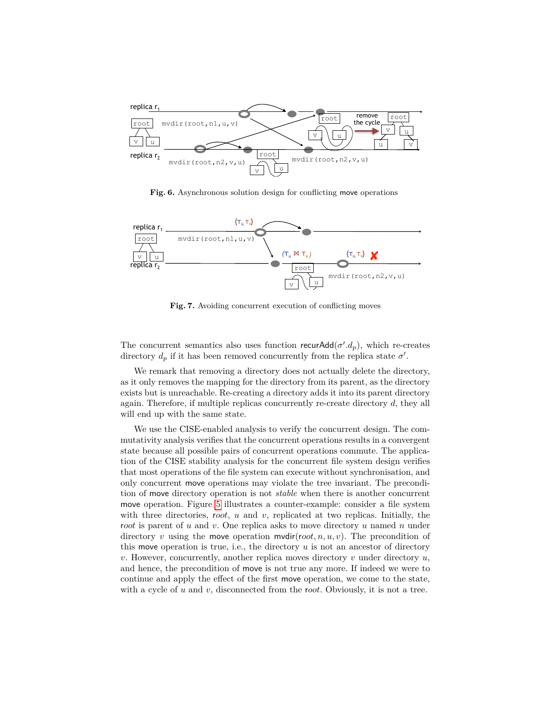

**Fig. 6.** Asynchronous solution design for conflicting move operations



**Fig. 7.** Avoiding concurrent execution of conflicting moves

The concurrent semantics also uses function recurAdd( $\sigma'$ . $d_p$ ), which re-creates directory  $d_p$  if it has been removed concurrently from the replica state  $\sigma'$ .

We remark that removing a directory does not actually delete the directory, as it only removes the mapping for the directory from its parent, as the directory exists but is unreachable. Re-creating a directory adds it into its parent directory again. Therefore, if multiple replicas concurrently re-create directory *d*, they all will end up with the same state.

We use the CISE-enabled analysis to verify the concurrent design. The commutativity analysis verifies that the concurrent operations results in a convergent state because all possible pairs of concurrent operations commute. The application of the CISE stability analysis for the concurrent file system design verifies that most operations of the file system can execute without synchronisation, and only concurrent move operations may violate the tree invariant. The precondition of move directory operation is not *stable* when there is another concurrent move operation. Figure 5 illustrates a counter-example: consider a file system with three directories, root, *u* and *v*, replicated at two replicas. Initially, the r*oot* is parent of *u* and *v*. One replica asks to move directory *u* named *n* under directory *v* using the move operation mvdir(root,  $n, u, v$ ). The precondition of this move operation is true, i.e., the directory  $u$  is not an ancestor of directory *v*. However, concurrently, another replica moves directory *v* under directory *u*, and hence, the precondition of move is not true any more. If indeed we were to continue and apply the effect of the first move operation, we come to the state, with a cycle of *u* and *v*, disconnected from the r*oot*. Obviously, it is not a tree.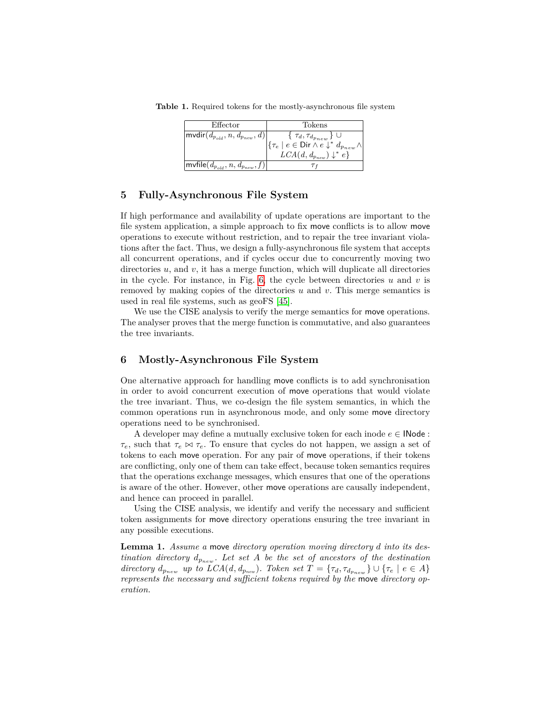| Effector                                            | Tokens                                                                                                                                 |  |  |
|-----------------------------------------------------|----------------------------------------------------------------------------------------------------------------------------------------|--|--|
| $ \mathsf{mvdir}(d_{p_{old}}, n, d_{p_{new}}, d) $  |                                                                                                                                        |  |  |
|                                                     | $\begin{cases} \tau_d, \tau_{d_{prev}} \} \cup \\ \{\tau_e \mid e \in \text{Dir} \wedge e \downarrow^* d_{p_{new}} \wedge \end{cases}$ |  |  |
|                                                     | $LCA(d, d_{p_{new}}) \downarrow^* e$                                                                                                   |  |  |
| $ \textsf{mvfile}(d_{p_{old}}, n, d_{p_{new}}, f) $ |                                                                                                                                        |  |  |

**Table 1.** Required tokens for the mostly-asynchronous file system

#### **5 Fully-Asynchronous File System**

If high performance and availability of update operations are important to the file system application, a simple approach to fix move conflicts is to allow move operations to execute without restriction, and to repair the tree invariant violations after the fact. Thus, we design a fully-asynchronous file system that accepts all concurrent operations, and if cycles occur due to concurrently moving two directories *u*, and *v*, it has a merge function, which will duplicate all directories in the cycle. For instance, in Fig. 6, the cycle between directories *u* and *v* is removed by making copies of the directories *u* and *v*. This merge semantics is used in real file systems, such as geoFS [45].

We use the CISE analysis to verify the merge semantics for move operations. The analyser proves that the merge function is commutative, and also guarantees the tree invariants.

## **6 Mostly-Asynchronous File System**

One alternative approach for handling move conflicts is to add synchronisation in order to avoid concurrent execution of move operations that would violate the tree invariant. Thus, we co-design the file system semantics, in which the common operations run in asynchronous mode, and only some move directory operations need to be synchronised.

A developer may define a mutually exclusive token for each inode  $e \in \mathsf{INode}$ :  $\tau_e$ , such that  $\tau_e \bowtie \tau_e$ . To ensure that cycles do not happen, we assign a set of tokens to each move operation. For any pair of move operations, if their tokens are conflicting, only one of them can take effect, because token semantics requires that the operations exchange messages, which ensures that one of the operations is aware of the other. However, other move operations are causally independent, and hence can proceed in parallel.

Using the CISE analysis, we identify and verify the necessary and sufficient token assignments for move directory operations ensuring the tree invariant in any possible executions.

**Lemma 1.** *Assume a* move *directory operation moving directory d into its destination directory*  $d_{p_{new}}$ *. Let set A be the set of ancestors of the destination* directory  $d_{p_{new}}$  up to  $LCA(d, d_{p_{new}})$ . Token set  $T = {\tau_d, \tau_{d_{p_{new}}}} \cup {\tau_e | e \in A}$ *represents the necessary and sufficient tokens required by the* move *directory operation.*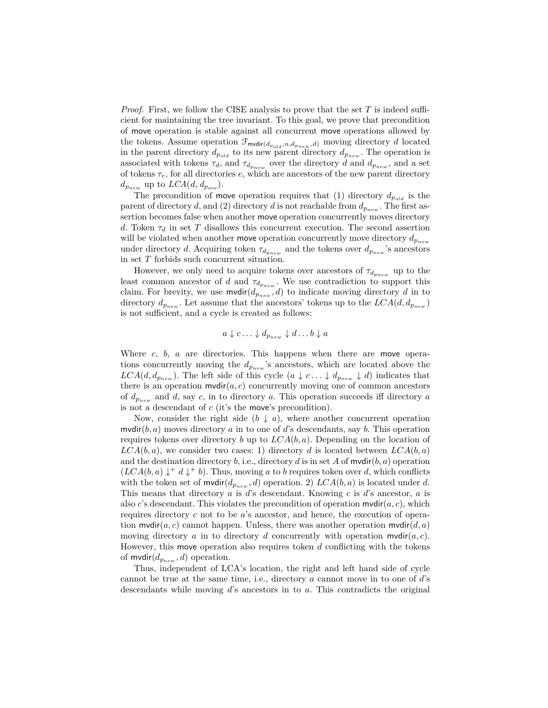*Proof.* First, we follow the CISE analysis to prove that the set *T* is indeed sufficient for maintaining the tree invariant. To this goal, we prove that precondition of move operation is stable against all concurrent move operations allowed by the tokens. Assume operation  $\mathcal{F}_{\mathsf{mvdir}(d_{p_{old}}, n, d_{p_{new}}, d)}$  moving directory *d* located in the parent directory  $d_{p_{old}}$  to its new parent directory  $d_{p_{new}}$ . The operation is associated with tokens  $\tau_d$ , and  $\tau_{d_{pnew}}$  over the directory *d* and  $d_{p_{new}}$ , and a set of tokens *τe*, for all directories *e*, which are ancestors of the new parent directory  $d_{p_{new}}$  up to  $LCA(d, d_{p_{new}})$ .

The precondition of move operation requires that (1) directory  $d_{p_{old}}$  is the parent of directory *d*, and (2) directory *d* is not reachable from  $d_{p_{new}}$ . The first assertion becomes false when another move operation concurrently moves directory *d*. Token  $\tau_d$  in set *T* disallows this concurrent execution. The second assertion will be violated when another move operation concurrently move directory  $d_{p_{new}}$ under directory *d*. Acquiring token  $\tau_{d_{prev}}$  and the tokens over  $d_{p_{new}}$ 's ancestors in set *T* forbids such concurrent situation.

However, we only need to acquire tokens over ancestors of  $\tau_{d_{p_{new}}}$  up to the least common ancestor of *d* and  $\tau_{d_{p_{new}}}$ . We use contradiction to support this claim. For brevity, we use  $\textsf{mvdir}(d_{p_{new}}, d)$  to indicate moving directory *d* in to directory  $d_{p_{new}}$ . Let assume that the ancestors' tokens up to the  $LCA(d, d_{p_{new}})$ is not sufficient, and a cycle is created as follows:

$$
a \downarrow c \ldots \downarrow d_{p_{new}} \downarrow d \ldots b \downarrow a
$$

Where *c*, *b*, *a* are directories. This happens when there are move operations concurrently moving the  $d_{p_{new}}$ 's ancestors, which are located above the *LCA*(*d*,  $d_{p_{new}}$ ). The left side of this cycle ( $a \downarrow c \ldots \downarrow d_{p_{new}} \downarrow d$ ) indicates that there is an operation  $m$ vdir $(a, c)$  concurrently moving one of common ancestors of  $d_{p_{new}}$  and *d*, say *c*, in to directory *a*. This operation succeeds iff directory *a* is not a descendant of *c* (it's the move's precondition).

Now, consider the right side  $(b \downarrow a)$ , where another concurrent operation mvdir(*b, a*) moves directory *a* in to one of *d*'s descendants, say *b*. This operation requires tokens over directory  $b$  up to  $LCA(b, a)$ . Depending on the location of  $LCA(b, a)$ , we consider two cases: 1) directory *d* is located between  $LCA(b, a)$ and the destination directory  $b$ , i.e., directory  $d$  is in set  $A$  of  $m$ vdir $(b, a)$  operation  $(LCA(b, a) \downarrow^+ d \downarrow^+ b)$ . Thus, moving *a* to *b* requires token over *d*, which conflicts with the token set of  $m$ vdir $(d_{p_{new}}, d)$  operation. 2)  $LCA(b, a)$  is located under *d*. This means that directory *a* is *d*'s descendant. Knowing *c* is *d*'s ancestor, *a* is also *c*'s descendant. This violates the precondition of operation  $m \nu \mathrm{dir}(a, c)$ , which requires directory *c* not to be *a*'s ancestor, and hence, the execution of operation mvdir( $a, c$ ) cannot happen. Unless, there was another operation mvdir( $d, a$ ) moving directory *a* in to directory *d* concurrently with operation  $m \text{vdir}(a, c)$ . However, this move operation also requires token *d* conflicting with the tokens of  $m \text{vdir}(d_{p_{new}}, d)$  operation.

Thus, independent of LCA's location, the right and left hand side of cycle cannot be true at the same time, i.e., directory *a* cannot move in to one of *d*'s descendants while moving *d*'s ancestors in to *a*. This contradicts the original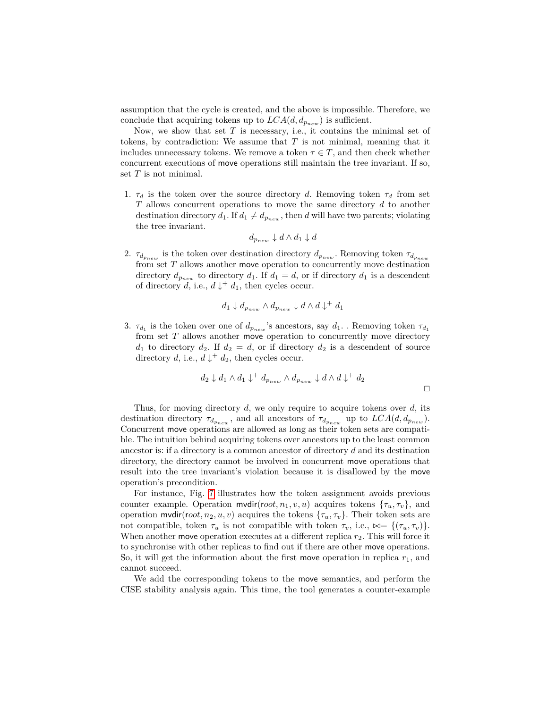assumption that the cycle is created, and the above is impossible. Therefore, we conclude that acquiring tokens up to  $LCA(d, d_{p_{new}})$  is sufficient.

Now, we show that set  $T$  is necessary, i.e., it contains the minimal set of tokens, by contradiction: We assume that *T* is not minimal, meaning that it includes unnecessary tokens. We remove a token  $\tau \in T$ , and then check whether concurrent executions of move operations still maintain the tree invariant. If so, set *T* is not minimal.

1.  $\tau_d$  is the token over the source directory *d*. Removing token  $\tau_d$  from set *T* allows concurrent operations to move the same directory *d* to another destination directory  $d_1$ . If  $d_1 \neq d_{p_{new}}$ , then *d* will have two parents; violating the tree invariant.

$$
d_{p_{new}}\downarrow d\wedge d_1\downarrow d
$$

2.  $\tau_{d_{p_{new}}}$  is the token over destination directory  $d_{p_{new}}$ . Removing token  $\tau_{d_{p_{new}}}$ from set *T* allows another move operation to concurrently move destination directory  $d_{p_{new}}$  to directory  $d_1$ . If  $d_1 = d$ , or if directory  $d_1$  is a descendent of directory *d*, i.e.,  $d \downarrow^+ d_1$ , then cycles occur.

$$
d_1 \downarrow d_{p_{new}} \wedge d_{p_{new}} \downarrow d \wedge d \downarrow^+ d_1
$$

3.  $\tau_{d_1}$  is the token over one of  $d_{p_{new}}$ 's ancestors, say  $d_1$ . . Removing token  $\tau_{d_1}$ from set *T* allows another move operation to concurrently move directory  $d_1$  to directory  $d_2$ . If  $d_2 = d$ , or if directory  $d_2$  is a descendent of source directory *d*, i.e.,  $d \downarrow^+ d_2$ , then cycles occur.

$$
d_2 \downarrow d_1 \wedge d_1 \downarrow^+ d_{p_{new}} \wedge d_{p_{new}} \downarrow d \wedge d \downarrow^+ d_2
$$

Thus, for moving directory *d*, we only require to acquire tokens over *d*, its destination directory  $\tau_{d_{pnew}}$ , and all ancestors of  $\tau_{d_{pnew}}$  up to  $LCA(d, d_{p_{new}})$ . Concurrent move operations are allowed as long as their token sets are compatible. The intuition behind acquiring tokens over ancestors up to the least common ancestor is: if a directory is a common ancestor of directory *d* and its destination directory, the directory cannot be involved in concurrent move operations that result into the tree invariant's violation because it is disallowed by the move operation's precondition.

For instance, Fig. 7 illustrates how the token assignment avoids previous counter example. Operation  $m$ vdir(root,  $n_1, v, u$ ) acquires tokens  $\{\tau_u, \tau_v\}$ , and operation mvdir(root,  $n_2, u, v$ ) acquires the tokens  $\{\tau_u, \tau_v\}$ . Their token sets are not compatible, token  $\tau_u$  is not compatible with token  $\tau_v$ , i.e.,  $\bowtie = {\tau_u, \tau_v}$ . When another move operation executes at a different replica  $r_2$ . This will force it to synchronise with other replicas to find out if there are other move operations. So, it will get the information about the first move operation in replica  $r_1$ , and cannot succeed.

We add the corresponding tokens to the move semantics, and perform the CISE stability analysis again. This time, the tool generates a counter-example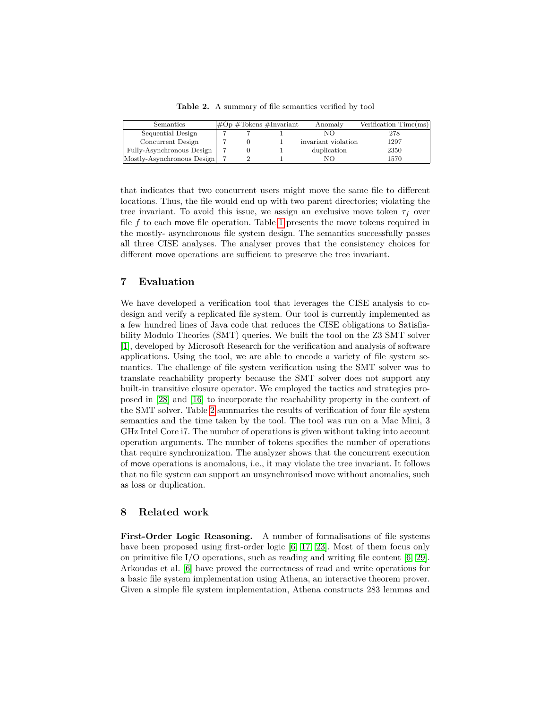**Table 2.** A summary of file semantics verified by tool

| Semantics                  |  | #Op #Tokens #Invariant | Anomaly             | Verification Time(ms) |
|----------------------------|--|------------------------|---------------------|-----------------------|
| Sequential Design          |  |                        | NΟ                  | 278                   |
| Concurrent Design          |  |                        | invariant violation | 1297                  |
| Fully-Asynchronous Design  |  |                        | duplication         | 2350                  |
| Mostly-Asynchronous Design |  |                        | NΟ                  | 1570                  |

that indicates that two concurrent users might move the same file to different locations. Thus, the file would end up with two parent directories; violating the tree invariant. To avoid this issue, we assign an exclusive move token  $\tau_f$  over file *f* to each move file operation. Table 1 presents the move tokens required in the mostly- asynchronous file system design. The semantics successfully passes all three CISE analyses. The analyser proves that the consistency choices for different move operations are sufficient to preserve the tree invariant.

# **7 Evaluation**

We have developed a verification tool that leverages the CISE analysis to codesign and verify a replicated file system. Our tool is currently implemented as a few hundred lines of Java code that reduces the CISE obligations to Satisfiability Modulo Theories (SMT) queries. We built the tool on the Z3 SMT solver [1], developed by Microsoft Research for the verification and analysis of software applications. Using the tool, we are able to encode a variety of file system semantics. The challenge of file system verification using the SMT solver was to translate reachability property because the SMT solver does not support any built-in transitive closure operator. We employed the tactics and strategies proposed in [28] and [16] to incorporate the reachability property in the context of the SMT solver. Table 2 summaries the results of verification of four file system semantics and the time taken by the tool. The tool was run on a Mac Mini, 3 GHz Intel Core i7. The number of operations is given without taking into account operation arguments. The number of tokens specifies the number of operations that require synchronization. The analyzer shows that the concurrent execution of move operations is anomalous, i.e., it may violate the tree invariant. It follows that no file system can support an unsynchronised move without anomalies, such as loss or duplication.

## **8 Related work**

**First-Order Logic Reasoning.** A number of formalisations of file systems have been proposed using first-order logic [6, 17, 23]. Most of them focus only on primitive file I/O operations, such as reading and writing file content [6, 29]. Arkoudas et al. [6] have proved the correctness of read and write operations for a basic file system implementation using Athena, an interactive theorem prover. Given a simple file system implementation, Athena constructs 283 lemmas and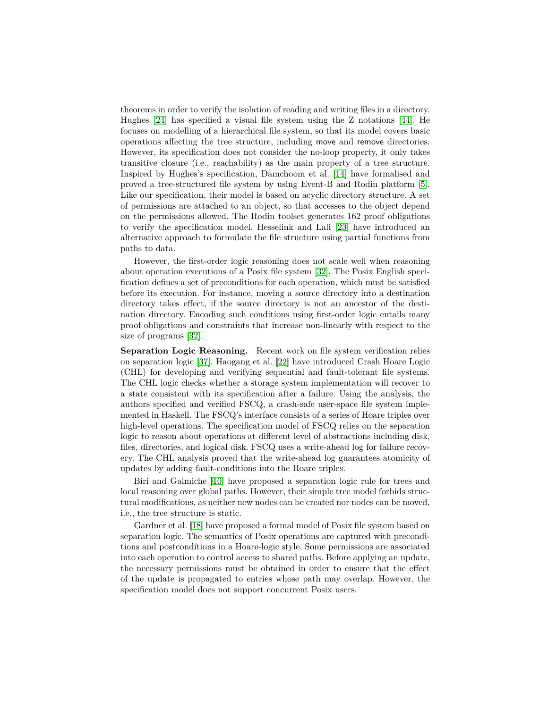theorems in order to verify the isolation of reading and writing files in a directory. Hughes [24] has specified a visual file system using the Z notations [44]. He focuses on modelling of a hierarchical file system, so that its model covers basic operations affecting the tree structure, including move and remove directories. However, its specification does not consider the no-loop property, it only takes transitive closure (i.e., reachability) as the main property of a tree structure. Inspired by Hughes's specification, Damchoom et al. [14] have formalised and proved a tree-structured file system by using Event-B and Rodin platform [5]. Like our specification, their model is based on acyclic directory structure. A set of permissions are attached to an object, so that accesses to the object depend on the permissions allowed. The Rodin toolset generates 162 proof obligations to verify the specification model. Hesselink and Lali [23] have introduced an alternative approach to formulate the file structure using partial functions from paths to data.

However, the first-order logic reasoning does not scale well when reasoning about operation executions of a Posix file system [32]. The Posix English specification defines a set of preconditions for each operation, which must be satisfied before its execution. For instance, moving a source directory into a destination directory takes effect, if the source directory is not an ancestor of the destination directory. Encoding such conditions using first-order logic entails many proof obligations and constraints that increase non-linearly with respect to the size of programs [32].

**Separation Logic Reasoning.** Recent work on file system verification relies on separation logic [37]. Haogang et al. [22] have introduced Crash Hoare Logic (CHL) for developing and verifying sequential and fault-tolerant file systems. The CHL logic checks whether a storage system implementation will recover to a state consistent with its specification after a failure. Using the analysis, the authors specified and verified FSCQ, a crash-safe user-space file system implemented in Haskell. The FSCQ's interface consists of a series of Hoare triples over high-level operations. The specification model of FSCQ relies on the separation logic to reason about operations at different level of abstractions including disk, files, directories, and logical disk. FSCQ uses a write-ahead log for failure recovery. The CHL analysis proved that the write-ahead log guarantees atomicity of updates by adding fault-conditions into the Hoare triples.

Biri and Galmiche [10] have proposed a separation logic rule for trees and local reasoning over global paths. However, their simple tree model forbids structural modifications, as neither new nodes can be created nor nodes can be moved, i.e., the tree structure is static.

Gardner et al. [18] have proposed a formal model of Posix file system based on separation logic. The semantics of Posix operations are captured with preconditions and postconditions in a Hoare-logic style. Some permissions are associated into each operation to control access to shared paths. Before applying an update, the necessary permissions must be obtained in order to ensure that the effect of the update is propagated to entries whose path may overlap. However, the specification model does not support concurrent Posix users.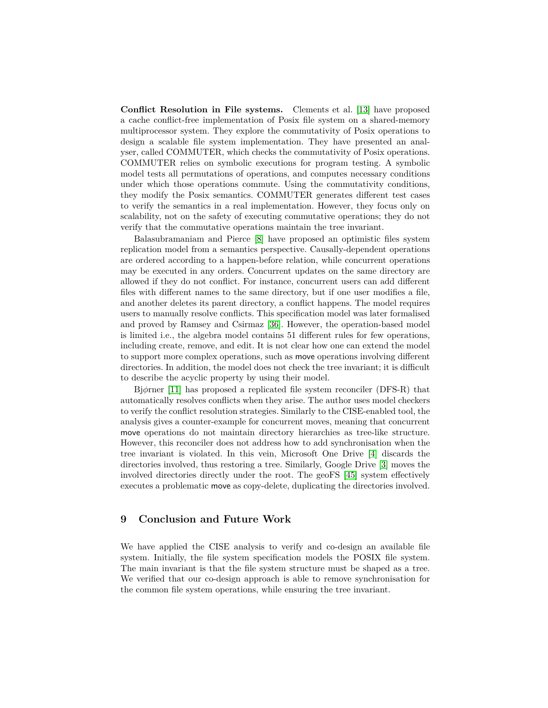**Conflict Resolution in File systems.** Clements et al. [13] have proposed a cache conflict-free implementation of Posix file system on a shared-memory multiprocessor system. They explore the commutativity of Posix operations to design a scalable file system implementation. They have presented an analyser, called COMMUTER, which checks the commutativity of Posix operations. COMMUTER relies on symbolic executions for program testing. A symbolic model tests all permutations of operations, and computes necessary conditions under which those operations commute. Using the commutativity conditions, they modify the Posix semantics. COMMUTER generates different test cases to verify the semantics in a real implementation. However, they focus only on scalability, not on the safety of executing commutative operations; they do not verify that the commutative operations maintain the tree invariant.

Balasubramaniam and Pierce [8] have proposed an optimistic files system replication model from a semantics perspective. Causally-dependent operations are ordered according to a happen-before relation, while concurrent operations may be executed in any orders. Concurrent updates on the same directory are allowed if they do not conflict. For instance, concurrent users can add different files with different names to the same directory, but if one user modifies a file, and another deletes its parent directory, a conflict happens. The model requires users to manually resolve conflicts. This specification model was later formalised and proved by Ramsey and Csirmaz [36]. However, the operation-based model is limited i.e., the algebra model contains 51 different rules for few operations, including create, remove, and edit. It is not clear how one can extend the model to support more complex operations, such as move operations involving different directories. In addition, the model does not check the tree invariant; it is difficult to describe the acyclic property by using their model.

Bj*φ*rner [11] has proposed a replicated file system reconciler (DFS-R) that automatically resolves conflicts when they arise. The author uses model checkers to verify the conflict resolution strategies. Similarly to the CISE-enabled tool, the analysis gives a counter-example for concurrent moves, meaning that concurrent move operations do not maintain directory hierarchies as tree-like structure. However, this reconciler does not address how to add synchronisation when the tree invariant is violated. In this vein, Microsoft One Drive [4] discards the directories involved, thus restoring a tree. Similarly, Google Drive [3] moves the involved directories directly under the root. The geoFS [45] system effectively executes a problematic move as copy-delete, duplicating the directories involved.

### **9 Conclusion and Future Work**

We have applied the CISE analysis to verify and co-design an available file system. Initially, the file system specification models the POSIX file system. The main invariant is that the file system structure must be shaped as a tree. We verified that our co-design approach is able to remove synchronisation for the common file system operations, while ensuring the tree invariant.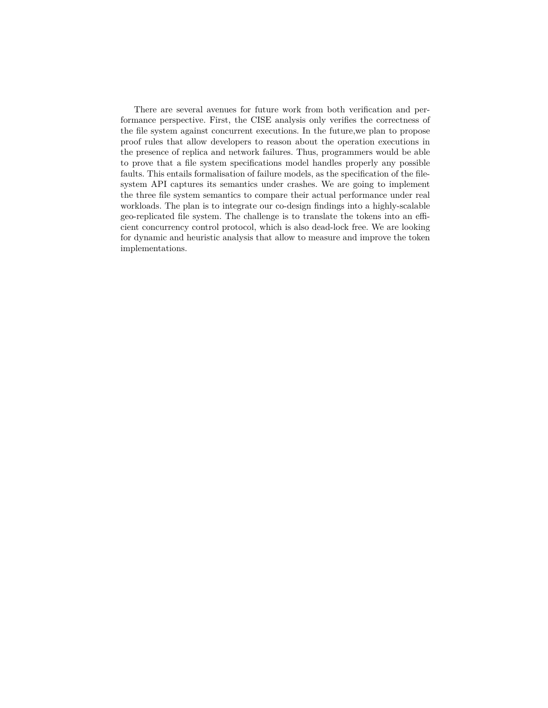There are several avenues for future work from both verification and performance perspective. First, the CISE analysis only verifies the correctness of the file system against concurrent executions. In the future,we plan to propose proof rules that allow developers to reason about the operation executions in the presence of replica and network failures. Thus, programmers would be able to prove that a file system specifications model handles properly any possible faults. This entails formalisation of failure models, as the specification of the filesystem API captures its semantics under crashes. We are going to implement the three file system semantics to compare their actual performance under real workloads. The plan is to integrate our co-design findings into a highly-scalable geo-replicated file system. The challenge is to translate the tokens into an efficient concurrency control protocol, which is also dead-lock free. We are looking for dynamic and heuristic analysis that allow to measure and improve the token implementations.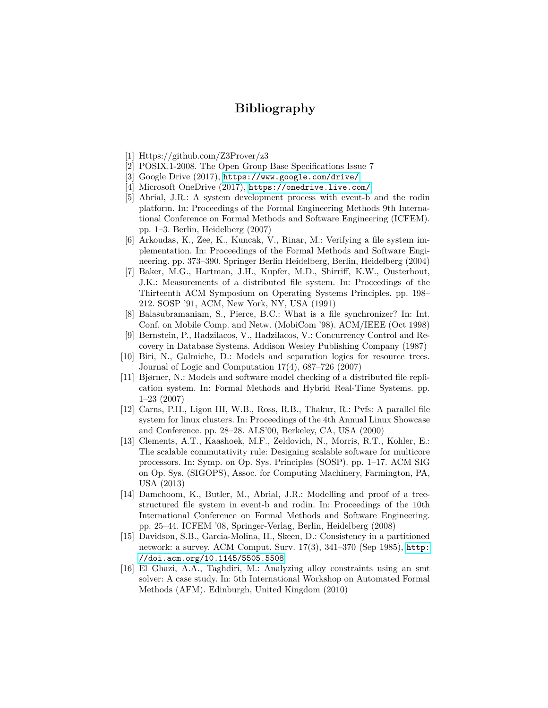# **Bibliography**

- [1] Https://github.com/Z3Prover/z3
- [2] POSIX.1-2008. The Open Group Base Specifications Issue 7
- [3] Google Drive (2017), <https://www.google.com/drive/>
- [4] Microsoft OneDrive (2017), <https://onedrive.live.com/>
- [5] Abrial, J.R.: A system development process with event-b and the rodin platform. In: Proceedings of the Formal Engineering Methods 9th International Conference on Formal Methods and Software Engineering (ICFEM). pp. 1–3. Berlin, Heidelberg (2007)
- [6] Arkoudas, K., Zee, K., Kuncak, V., Rinar, M.: Verifying a file system implementation. In: Proceedings of the Formal Methods and Software Engineering. pp. 373–390. Springer Berlin Heidelberg, Berlin, Heidelberg (2004)
- [7] Baker, M.G., Hartman, J.H., Kupfer, M.D., Shirriff, K.W., Ousterhout, J.K.: Measurements of a distributed file system. In: Proceedings of the Thirteenth ACM Symposium on Operating Systems Principles. pp. 198– 212. SOSP '91, ACM, New York, NY, USA (1991)
- [8] Balasubramaniam, S., Pierce, B.C.: What is a file synchronizer? In: Int. Conf. on Mobile Comp. and Netw. (MobiCom '98). ACM/IEEE (Oct 1998)
- [9] Bernstein, P., Radzilacos, V., Hadzilacos, V.: Concurrency Control and Recovery in Database Systems. Addison Wesley Publishing Company (1987)
- [10] Biri, N., Galmiche, D.: Models and separation logics for resource trees. Journal of Logic and Computation 17(4), 687–726 (2007)
- [11] Bjørner, N.: Models and software model checking of a distributed file replication system. In: Formal Methods and Hybrid Real-Time Systems. pp. 1–23 (2007)
- [12] Carns, P.H., Ligon III, W.B., Ross, R.B., Thakur, R.: Pvfs: A parallel file system for linux clusters. In: Proceedings of the 4th Annual Linux Showcase and Conference. pp. 28–28. ALS'00, Berkeley, CA, USA (2000)
- [13] Clements, A.T., Kaashoek, M.F., Zeldovich, N., Morris, R.T., Kohler, E.: The scalable commutativity rule: Designing scalable software for multicore processors. In: Symp. on Op. Sys. Principles (SOSP). pp. 1–17. ACM SIG on Op. Sys. (SIGOPS), Assoc. for Computing Machinery, Farmington, PA, USA (2013)
- [14] Damchoom, K., Butler, M., Abrial, J.R.: Modelling and proof of a treestructured file system in event-b and rodin. In: Proceedings of the 10th International Conference on Formal Methods and Software Engineering. pp. 25–44. ICFEM '08, Springer-Verlag, Berlin, Heidelberg (2008)
- [15] Davidson, S.B., Garcia-Molina, H., Skeen, D.: Consistency in a partitioned network: a survey. ACM Comput. Surv. 17(3), 341–370 (Sep 1985), [http:](http://doi.acm.org/10.1145/5505.5508) [//doi.acm.org/10.1145/5505.5508](http://doi.acm.org/10.1145/5505.5508)
- [16] El Ghazi, A.A., Taghdiri, M.: Analyzing alloy constraints using an smt solver: A case study. In: 5th International Workshop on Automated Formal Methods (AFM). Edinburgh, United Kingdom (2010)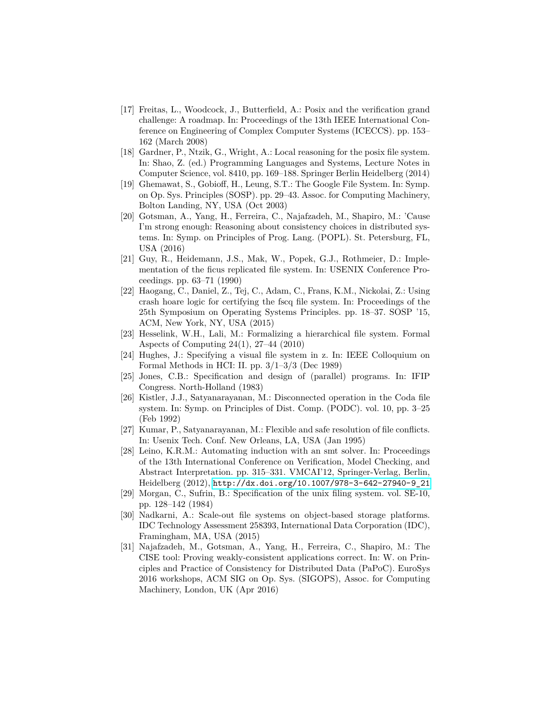- [17] Freitas, L., Woodcock, J., Butterfield, A.: Posix and the verification grand challenge: A roadmap. In: Proceedings of the 13th IEEE International Conference on Engineering of Complex Computer Systems (ICECCS). pp. 153– 162 (March 2008)
- [18] Gardner, P., Ntzik, G., Wright, A.: Local reasoning for the posix file system. In: Shao, Z. (ed.) Programming Languages and Systems, Lecture Notes in Computer Science, vol. 8410, pp. 169–188. Springer Berlin Heidelberg (2014)
- [19] Ghemawat, S., Gobioff, H., Leung, S.T.: The Google File System. In: Symp. on Op. Sys. Principles (SOSP). pp. 29–43. Assoc. for Computing Machinery, Bolton Landing, NY, USA (Oct 2003)
- [20] Gotsman, A., Yang, H., Ferreira, C., Najafzadeh, M., Shapiro, M.: 'Cause I'm strong enough: Reasoning about consistency choices in distributed systems. In: Symp. on Principles of Prog. Lang. (POPL). St. Petersburg, FL, USA (2016)
- [21] Guy, R., Heidemann, J.S., Mak, W., Popek, G.J., Rothmeier, D.: Implementation of the ficus replicated file system. In: USENIX Conference Proceedings. pp. 63–71 (1990)
- [22] Haogang, C., Daniel, Z., Tej, C., Adam, C., Frans, K.M., Nickolai, Z.: Using crash hoare logic for certifying the fscq file system. In: Proceedings of the 25th Symposium on Operating Systems Principles. pp. 18–37. SOSP '15, ACM, New York, NY, USA (2015)
- [23] Hesselink, W.H., Lali, M.: Formalizing a hierarchical file system. Formal Aspects of Computing 24(1), 27–44 (2010)
- [24] Hughes, J.: Specifying a visual file system in z. In: IEEE Colloquium on Formal Methods in HCI: II. pp. 3/1–3/3 (Dec 1989)
- [25] Jones, C.B.: Specification and design of (parallel) programs. In: IFIP Congress. North-Holland (1983)
- [26] Kistler, J.J., Satyanarayanan, M.: Disconnected operation in the Coda file system. In: Symp. on Principles of Dist. Comp. (PODC). vol. 10, pp. 3–25 (Feb 1992)
- [27] Kumar, P., Satyanarayanan, M.: Flexible and safe resolution of file conflicts. In: Usenix Tech. Conf. New Orleans, LA, USA (Jan 1995)
- [28] Leino, K.R.M.: Automating induction with an smt solver. In: Proceedings of the 13th International Conference on Verification, Model Checking, and Abstract Interpretation. pp. 315–331. VMCAI'12, Springer-Verlag, Berlin, Heidelberg (2012), [http://dx.doi.org/10.1007/978-3-642-27940-9\\_21](http://dx.doi.org/10.1007/978-3-642-27940-9_21)
- [29] Morgan, C., Sufrin, B.: Specification of the unix filing system. vol. SE-10, pp. 128–142 (1984)
- [30] Nadkarni, A.: Scale-out file systems on object-based storage platforms. IDC Technology Assessment 258393, International Data Corporation (IDC), Framingham, MA, USA (2015)
- [31] Najafzadeh, M., Gotsman, A., Yang, H., Ferreira, C., Shapiro, M.: The CISE tool: Proving weakly-consistent applications correct. In: W. on Principles and Practice of Consistency for Distributed Data (PaPoC). EuroSys 2016 workshops, ACM SIG on Op. Sys. (SIGOPS), Assoc. for Computing Machinery, London, UK (Apr 2016)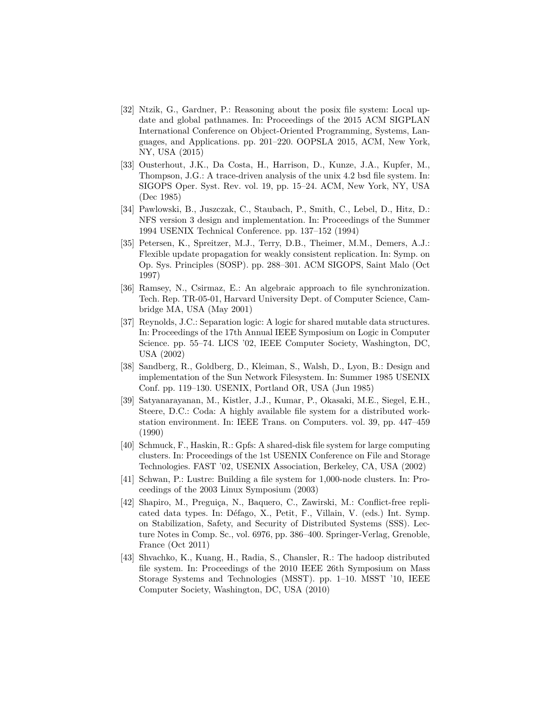- [32] Ntzik, G., Gardner, P.: Reasoning about the posix file system: Local update and global pathnames. In: Proceedings of the 2015 ACM SIGPLAN International Conference on Object-Oriented Programming, Systems, Languages, and Applications. pp. 201–220. OOPSLA 2015, ACM, New York, NY, USA (2015)
- [33] Ousterhout, J.K., Da Costa, H., Harrison, D., Kunze, J.A., Kupfer, M., Thompson, J.G.: A trace-driven analysis of the unix 4.2 bsd file system. In: SIGOPS Oper. Syst. Rev. vol. 19, pp. 15–24. ACM, New York, NY, USA (Dec 1985)
- [34] Pawlowski, B., Juszczak, C., Staubach, P., Smith, C., Lebel, D., Hitz, D.: NFS version 3 design and implementation. In: Proceedings of the Summer 1994 USENIX Technical Conference. pp. 137–152 (1994)
- [35] Petersen, K., Spreitzer, M.J., Terry, D.B., Theimer, M.M., Demers, A.J.: Flexible update propagation for weakly consistent replication. In: Symp. on Op. Sys. Principles (SOSP). pp. 288–301. ACM SIGOPS, Saint Malo (Oct 1997)
- [36] Ramsey, N., Csirmaz, E.: An algebraic approach to file synchronization. Tech. Rep. TR-05-01, Harvard University Dept. of Computer Science, Cambridge MA, USA (May 2001)
- [37] Reynolds, J.C.: Separation logic: A logic for shared mutable data structures. In: Proceedings of the 17th Annual IEEE Symposium on Logic in Computer Science. pp. 55–74. LICS '02, IEEE Computer Society, Washington, DC, USA (2002)
- [38] Sandberg, R., Goldberg, D., Kleiman, S., Walsh, D., Lyon, B.: Design and implementation of the Sun Network Filesystem. In: Summer 1985 USENIX Conf. pp. 119–130. USENIX, Portland OR, USA (Jun 1985)
- [39] Satyanarayanan, M., Kistler, J.J., Kumar, P., Okasaki, M.E., Siegel, E.H., Steere, D.C.: Coda: A highly available file system for a distributed workstation environment. In: IEEE Trans. on Computers. vol. 39, pp. 447–459 (1990)
- [40] Schmuck, F., Haskin, R.: Gpfs: A shared-disk file system for large computing clusters. In: Proceedings of the 1st USENIX Conference on File and Storage Technologies. FAST '02, USENIX Association, Berkeley, CA, USA (2002)
- [41] Schwan, P.: Lustre: Building a file system for 1,000-node clusters. In: Proceedings of the 2003 Linux Symposium (2003)
- [42] Shapiro, M., Preguiça, N., Baquero, C., Zawirski, M.: Conflict-free replicated data types. In: Défago, X., Petit, F., Villain, V. (eds.) Int. Symp. on Stabilization, Safety, and Security of Distributed Systems (SSS). Lecture Notes in Comp. Sc., vol. 6976, pp. 386–400. Springer-Verlag, Grenoble, France (Oct 2011)
- [43] Shvachko, K., Kuang, H., Radia, S., Chansler, R.: The hadoop distributed file system. In: Proceedings of the 2010 IEEE 26th Symposium on Mass Storage Systems and Technologies (MSST). pp. 1–10. MSST '10, IEEE Computer Society, Washington, DC, USA (2010)